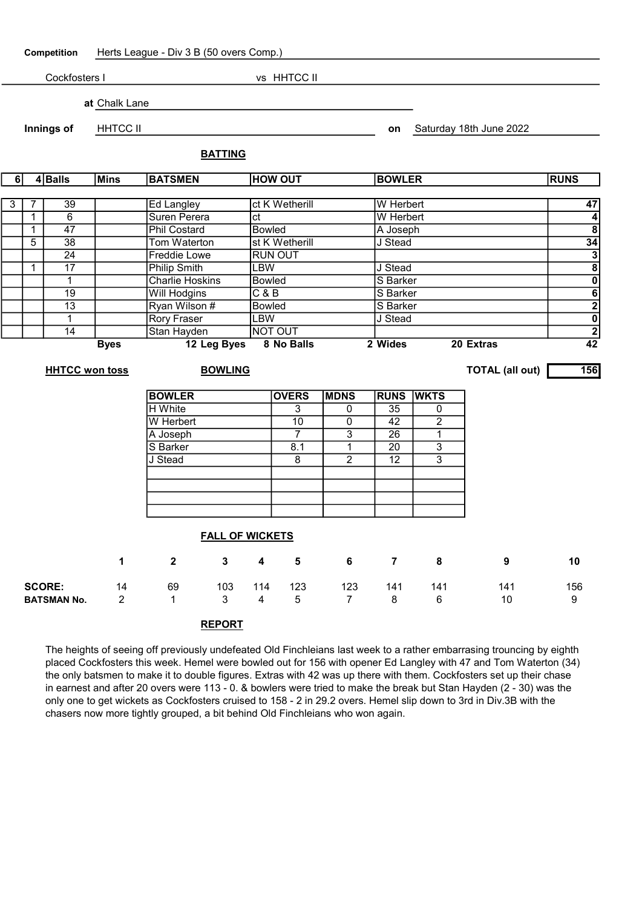Competition Herts League - Div 3 B (50 overs Comp.) Cockfosters I vs HHTCC II at Chalk Lane **Innings of HHTCC II can be a set on Saturday 18th June 2022 BATTING** 6 4 Balls Mins BATSMEN HOW OUT BOWLER RUNS 3 7 39 Ed Langley ct K Wetherill W Herbert 1996 1997 1 6 Suren Perera ct W Herbert 4

|   | <b>HHTCC won toss</b> |             | <b>BOWLING</b>         |                |                  | <b>TOTAL (all out)</b> | 156            |
|---|-----------------------|-------------|------------------------|----------------|------------------|------------------------|----------------|
|   |                       | <b>Byes</b> | 12 Leg Byes            | 8 No Balls     | 2 Wides          | 20 Extras              | 42             |
|   | 14                    |             | Stan Hayden            | <b>NOT OUT</b> |                  |                        | $\mathbf{2}$   |
|   |                       |             | <b>Rory Fraser</b>     | _BW            | J Stead          |                        | $\mathbf 0$    |
|   | 13                    |             | Ryan Wilson #          | <b>Bowled</b>  | S Barker         |                        | $\mathbf{2}$   |
|   | 19                    |             | Will Hodgins           | C&B            | <b>IS Barker</b> |                        | 6              |
|   |                       |             | <b>Charlie Hoskins</b> | <b>Bowled</b>  | S Barker         |                        | $\mathbf 0$    |
|   | 17                    |             | Philip Smith           | _BW            | J Stead          |                        | 8 <sup>1</sup> |
|   | 24                    |             | <b>Freddie Lowe</b>    | <b>RUN OUT</b> |                  |                        | 3              |
| 5 | 38                    |             | Tom Waterton           | st K Wetherill | J Stead          |                        | 34             |
|   |                       |             |                        |                |                  |                        |                |

1 47 Phil Costard Bowled A Joseph 8

| <b>BOWLER</b> | <b>OVERS</b> | <b>MDNS</b> | <b>RUNS WKTS</b> |   |
|---------------|--------------|-------------|------------------|---|
| H White       |              |             | 35               |   |
| W Herbert     | 10           |             | 42               | ⌒ |
| A Joseph      |              | 3           | 26               |   |
| S Barker      | 8.1          |             | 20               | ≏ |
| J Stead       | 8            | 2           | 12               |   |
|               |              |             |                  |   |
|               |              |             |                  |   |
|               |              |             |                  |   |
|               |              |             |                  |   |

|                                     | <b>FALL OF WICKETS</b> |              |             |          |          |     |          |          |           |          |
|-------------------------------------|------------------------|--------------|-------------|----------|----------|-----|----------|----------|-----------|----------|
|                                     | 1                      | $\mathbf{2}$ | $3^{\circ}$ | 4        | 5        | -6  | -7       | 8        | 9         | 10       |
| <b>SCORE:</b><br><b>BATSMAN No.</b> | 14<br>2                | 69           | 103<br>3    | 114<br>4 | 123<br>5 | 123 | 141<br>8 | 141<br>6 | 141<br>10 | 156<br>9 |

## REPORT

The heights of seeing off previously undefeated Old Finchleians last week to a rather embarrasing trouncing by eighth placed Cockfosters this week. Hemel were bowled out for 156 with opener Ed Langley with 47 and Tom Waterton (34) the only batsmen to make it to double figures. Extras with 42 was up there with them. Cockfosters set up their chase in earnest and after 20 overs were 113 - 0. & bowlers were tried to make the break but Stan Hayden (2 - 30) was the only one to get wickets as Cockfosters cruised to 158 - 2 in 29.2 overs. Hemel slip down to 3rd in Div.3B with the chasers now more tightly grouped, a bit behind Old Finchleians who won again.